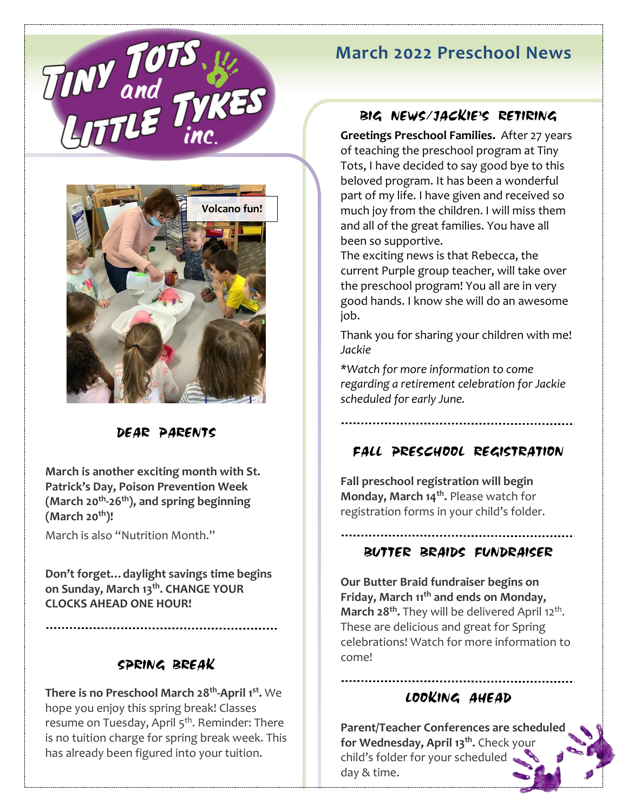# **March 2022 Preschool News**





# DEAR PARENTS

**March is another exciting month with St. Patrick's Day, Poison Prevention Week (March 20 th -26 th), and spring beginning (March 20th)!** 

March is also "Nutrition Month."

**Don't forget…daylight savings time begins on Sunday, March 13 th. CHANGE YOUR CLOCKS AHEAD ONE HOUR!** 

# SPRING BREAK

**There is no Preschool March 28<sup>th</sup>-April 1<sup>st</sup>. We** hope you enjoy this spring break! Classes resume on Tuesday, April 5<sup>th</sup>. Reminder: There is no tuition charge for spring break week. This has already been figured into your tuition.

### BIG NEWS/JACKIE'S RETIRING

**Greetings Preschool Families.** After 27 years of teaching the preschool program at Tiny Tots, I have decided to say good bye to this beloved program. It has been a wonderful part of my life. I have given and received so much joy from the children. I will miss them and all of the great families. You have all been so supportive.

The exciting news is that Rebecca, the current Purple group teacher, will take over the preschool program! You all are in very good hands. I know she will do an awesome job.

Thank you for sharing your children with me! *Jackie*

*\*Watch for more information to come regarding a retirement celebration for Jackie scheduled for early June.* 

# FALL PRESCHOOL REGISTRATION

**Fall preschool registration will begin Monday, March 14th .** Please watch for registration forms in your child's folder.

#### BUTTER BRAIDS FUNDRAISER

**Our Butter Braid fundraiser begins on Friday, March 11th and ends on Monday, March 28<sup>th</sup>.** They will be delivered April 12<sup>th</sup>. These are delicious and great for Spring celebrations! Watch for more information to come!

#### LOOKING AHEAD

**Parent/Teacher Conferences are scheduled for Wednesday, April 13th .** Check your child's folder for your scheduled day & time.